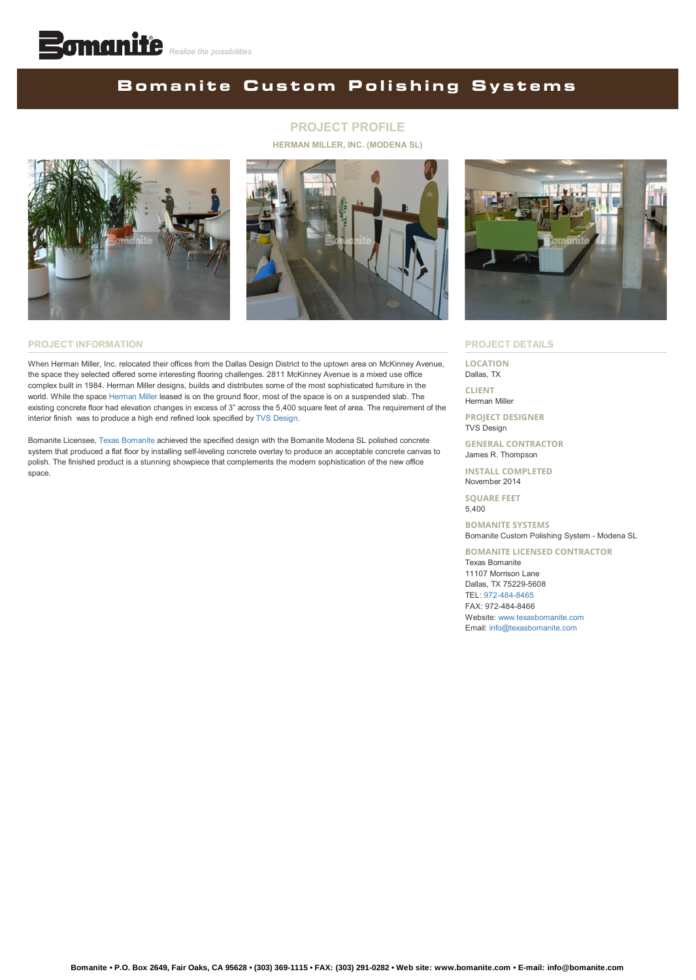## **BomaniteCustom Polishing Systems**

#### **PROJECT PROFILE**

**HERMAN MILLER, INC. (MODENA SL)**





#### **PROJECT INFORMATION**

When Herman Miller, Inc. relocated their offices from the Dallas Design District to the uptown area on McKinney Avenue, the space they selected offered some interesting flooring challenges. 2811 McKinney Avenue is a mixed use office complex built in 1984. Herman Miller designs, builds and distributes some of the most sophisticated furniture in the world. While the space [Herman Miller](https://www.hermanmiller.com/) leased is on the ground floor, most of the space is on a suspended slab. The existing concrete floor had elevation changes in excess of 3" across the 5,400 square feet of area. The requirement of the interior finish was to produce a high end refined look specified by [TVS Design.](https://www.tvsdesign.com/)

Bomanite Licensee, [Texas Bomanite](http://www.texasbomanite.com/) achieved the specified design with the Bomanite Modena SL polished concrete system that produced a flat floor by installing self-leveling concrete overlay to produce an acceptable concrete canvas to polish. The finished product is a stunning showpiece that complements the modern sophistication of the new office space.



#### **PROJECT DETAILS**

**LOCATION** Dallas, TX

**CLIENT** Herman Miller

**PROJECT DESIGNER** TVS Design

**GENERAL CONTRACTOR** James R. Thompson

**INSTALL COMPLETED** November 2014

**SQUARE FEET** 5,400

**BOMANITE SYSTEMS** Bomanite Custom Polishing System - Modena SL

**BOMANITE LICENSED CONTRACTOR** Texas Bomanite 11107 Morrison Lane Dallas, TX 75229-5608 TEL: [972-484-8465](tel:1-972-484-8465) FAX: 972-484-8466 Website: [www.texasbomanite.com](http://www.texasbomanite.com/) Email: [info@texasbomanite.com](mailto:info@texasbomanite.com?cc=info@bomanite.com&subject=I%20Need%20More%20Info%20About%20Project%20Profile:%20Herman%20Miller)